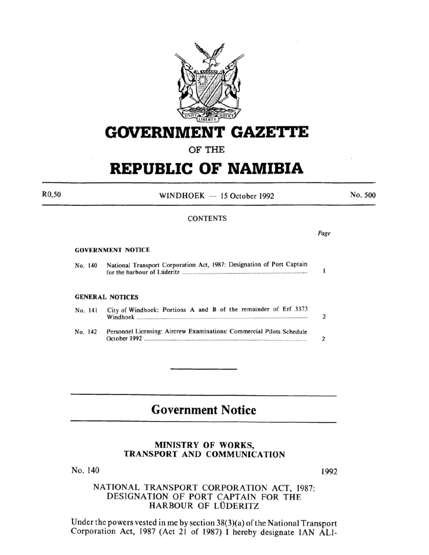

# **GOVERNMENT GAZETTE**

### OF THE

# **REPUBLIC OF NAMIBIA**

 $WINDHOEK - 15 October 1992$ 

No. 500

#### **CONTENTS**

Page

#### GOVERNMENT NOTICE

R0,50

|  | No. 140 | National Transport Corporation Act, 1987: Designation of Port Captain |  |
|--|---------|-----------------------------------------------------------------------|--|
|  |         | for the harbour of Lüderitz                                           |  |

#### GENERAL NOTICES

|         | No. 141 | City of Windhoek: Portions A and B of the remainder of Erf 3373       |  |
|---------|---------|-----------------------------------------------------------------------|--|
| No. 142 |         | Personnel Licensing: Aircrew Examinations: Commercial Pilots Schedule |  |

## **Government Notice**

#### MINISTRY OF WORKS, TRANSPORT AND COMMUNICATION

No. 140

1992

### NATIONAL TRANSPORT CORPORATION ACT, 1987: DESIGNATION OF PORT CAPTAIN FOR THE HARBOUR OF LÜDERITZ

Under the powers vested in me by section  $38(3)(a)$  of the National Transport Corporation Act, 1987 (Act 21 of 1987) I hereby designate IAN ALI-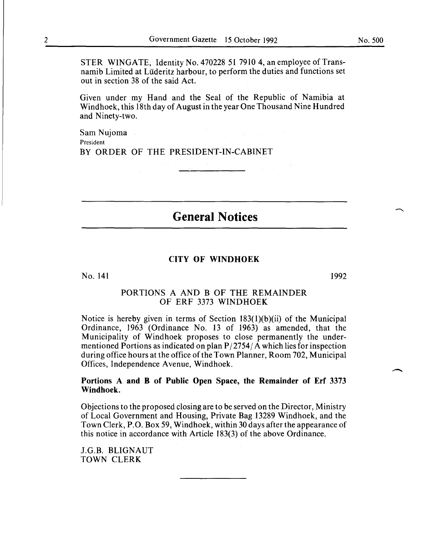STER WINGATE, Identity No. 470228 51 7910 4, an employee of Transnamib Limited at Luderitz harbour, to perform the duties and functions set out in section 38 of the said Act.

Given under my Hand and the Seal of the Republic of Namibia at Windhoek, this 18th day of August in the year One Thousand Nine Hundred and Ninety-two.

Sam Nujoma President BY ORDER OF THE PRESIDENT-IN-CABINET

**General Notices** 

#### CITY OF WINDHOEK

No. 141

1992

#### PORTIONS A AND B OF THE REMAINDER OF ERF 3373 WINDHOEK

Notice is hereby given in terms of Section 183(1)(b)(ii) of the Municipal Ordinance, 1963 (Ordinance No. 13 of 1963) as amended, that the Municipality of Windhoek proposes to close permanently the undermentioned Portions as indicated on plan  $P/2754/\text{\AA}$  which lies for inspection during office hours at the office of the Town Planner, Room 702, Municipal Offices, Independence Avenue, Windhoek.

#### Portions A and **B** of Public Open Space, the Remainder of Erf 3373 Windhoek.

Objections to the proposed closing are to be served on the Director, Ministry of Local Government and Housing, Private Bag 13289 Windhoek, and the Town Clerk, P.O. Box 59, Windhoek, within 30 days after the appearance of this notice in accordance with Article 183(3) of the above Ordinance.

J.G.B. BLIGNAUT TOWN CLERK